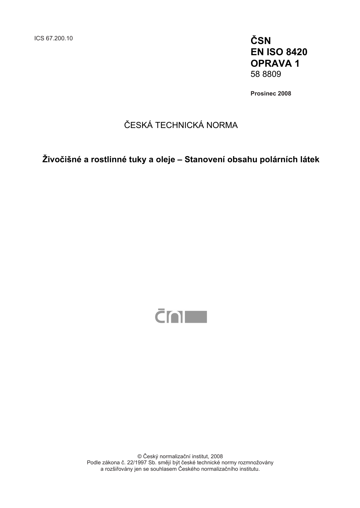ICS 67.200.10 **ČSN** 

**EN ISO 8420 OPRAVA 1**  58 8809

**Prosinec 2008** 

### ČESKÁ TECHNICKÁ NORMA

**Živočišné a rostlinné tuky a oleje – Stanovení obsahu polárních látek** 



© Český normalizační institut, 2008 Podle zákona č. 22/1997 Sb. smějí být české technické normy rozmnožovány a rozšiřovány jen se souhlasem Českého normalizačního institutu.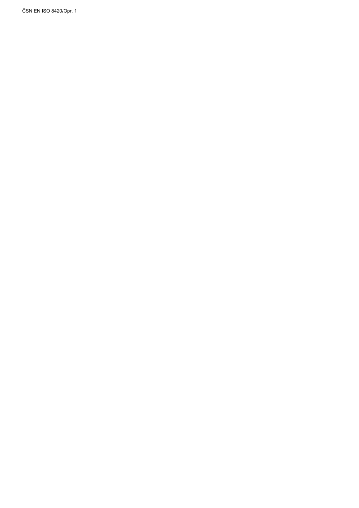ČSN EN ISO 8420/Opr. 1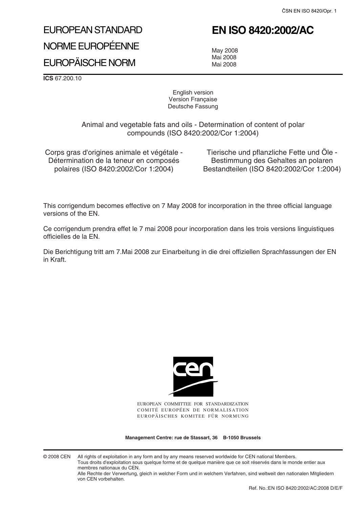# EUROPEAN STANDARD

## NORME EUROPÉENNE EUROPÄISCHE NORM

## **EN ISO 8420:2002/AC**

May 2008 Mai 2008 Mai 2008

**ICS** 67.200.10

English version Version Française Deutsche Fassung

Animal and vegetable fats and oils - Determination of content of polar compounds (ISO 8420:2002/Cor 1:2004)

Corps gras d'origines animale et végétale - Détermination de la teneur en composés polaires (ISO 8420:2002/Cor 1:2004)

Tierische und pflanzliche Fette und Öle - Bestimmung des Gehaltes an polaren Bestandteilen (ISO 8420:2002/Cor 1:2004)

This corrigendum becomes effective on 7 May 2008 for incorporation in the three official language versions of the EN.

Ce corrigendum prendra effet le 7 mai 2008 pour incorporation dans les trois versions linguistiques officielles de la EN.

Die Berichtigung tritt am 7.Mai 2008 zur Einarbeitung in die drei offiziellen Sprachfassungen der EN in Kraft.



EUROPEAN COMMITTEE FOR STANDARDIZATION COMITÉ EUROPÉEN DE NORMALISATION EUROPÄISCHES KOMITEE FÜR NORMUNG

**Management Centre: rue de Stassart, 36 B-1050 Brussels**

© 2008 CEN All rights of exploitation in any form and by any means reserved worldwide for CEN national Members. Tous droits d'exploitation sous quelque forme et de quelque manière que ce soit réservés dans le monde entier aux membres nationaux du CEN.

Alle Rechte der Verwertung, gleich in welcher Form und in welchem Verfahren, sind weltweit den nationalen Mitgliedern von CEN vorbehalten.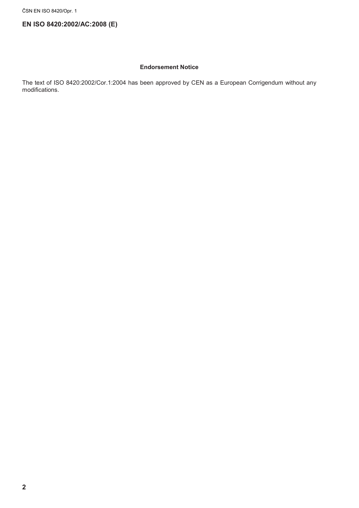ČSN EN ISO 8420/Opr. 1

#### **EN ISO 8420:2002/AC:2008 (E)**

#### **Endorsement Notice**

The text of ISO 8420:2002/Cor.1:2004 has been approved by CEN as a European Corrigendum without any modifications.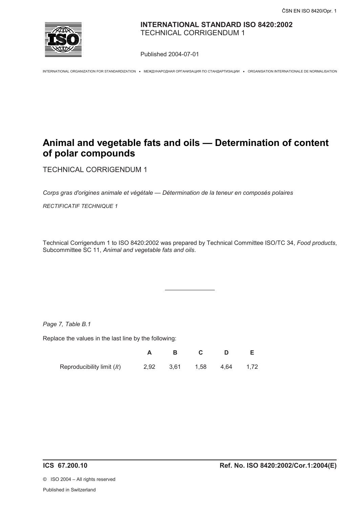

#### **INTERNATIONAL STANDARD ISO 8420:2002**  TECHNICAL CORRIGENDUM 1

Published 2004-07-01

INTERNATIONAL ORGANIZATION FOR STANDARDIZATION • МЕЖДУНАРОДНАЯ ОРГАНИЗАЦИЯ ПО СТАНДАРТИЗАЦИИ • ORGANISATION INTERNATIONALE DE NORMALISATION

### **Animal and vegetable fats and oils — Determination of content of polar compounds**

TECHNICAL CORRIGENDUM 1

*Corps gras d'origines animale et végétale — Détermination de la teneur en composés polaires*

*RECTIFICATIF TECHNIQUE 1*

Technical Corrigendum 1 to ISO 8420:2002 was prepared by Technical Committee ISO/TC 34, *Food products*, Subcommittee SC 11, *Animal and vegetable fats and oils*.

#### *Page 7, Table B.1*

Replace the values in the last line by the following:

|                             | $\mathbf{R}$ | D.                       |  |
|-----------------------------|--------------|--------------------------|--|
| Reproducibility limit $(R)$ |              | 2,92 3,61 1,58 4,64 1,72 |  |

 $\overline{a}$ 

©ISO 2004 – All rights reserved